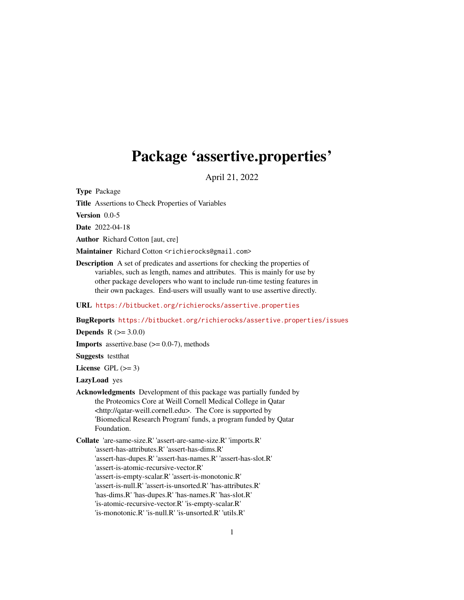# <span id="page-0-0"></span>Package 'assertive.properties'

April 21, 2022

Type Package

Title Assertions to Check Properties of Variables

Version 0.0-5

Date 2022-04-18

Author Richard Cotton [aut, cre]

Maintainer Richard Cotton <richierocks@gmail.com>

Description A set of predicates and assertions for checking the properties of variables, such as length, names and attributes. This is mainly for use by other package developers who want to include run-time testing features in their own packages. End-users will usually want to use assertive directly.

URL <https://bitbucket.org/richierocks/assertive.properties>

BugReports <https://bitbucket.org/richierocks/assertive.properties/issues>

**Depends**  $R (= 3.0.0)$ 

**Imports** assertive.base  $(>= 0.0-7)$ , methods

Suggests testthat

License GPL  $(>= 3)$ 

LazyLoad yes

- Acknowledgments Development of this package was partially funded by the Proteomics Core at Weill Cornell Medical College in Qatar <http://qatar-weill.cornell.edu>. The Core is supported by 'Biomedical Research Program' funds, a program funded by Qatar Foundation.
- Collate 'are-same-size.R' 'assert-are-same-size.R' 'imports.R' 'assert-has-attributes.R' 'assert-has-dims.R' 'assert-has-dupes.R' 'assert-has-names.R' 'assert-has-slot.R' 'assert-is-atomic-recursive-vector.R' 'assert-is-empty-scalar.R' 'assert-is-monotonic.R' 'assert-is-null.R' 'assert-is-unsorted.R' 'has-attributes.R' 'has-dims.R' 'has-dupes.R' 'has-names.R' 'has-slot.R' 'is-atomic-recursive-vector.R' 'is-empty-scalar.R' 'is-monotonic.R' 'is-null.R' 'is-unsorted.R' 'utils.R'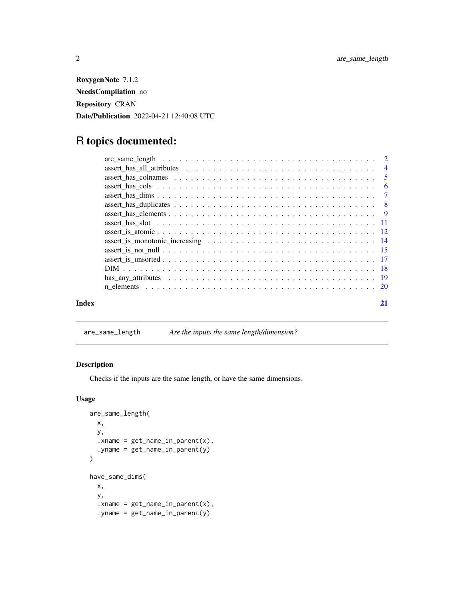<span id="page-1-0"></span>RoxygenNote 7.1.2 NeedsCompilation no Repository CRAN Date/Publication 2022-04-21 12:40:08 UTC

# R topics documented:

| Index | 21 |
|-------|----|

are\_same\_length *Are the inputs the same length/dimension?*

# Description

Checks if the inputs are the same length, or have the same dimensions.

# Usage

```
are_same_length(
 x,
 y,
  xname = get_name_in_parent(x),
  .yname = get_name_in_parent(y)
\overline{)}have_same_dims(
 x,
 y,
  :xname = get_name_in.parent(x),.yname = get_name_in\_parent(y)
```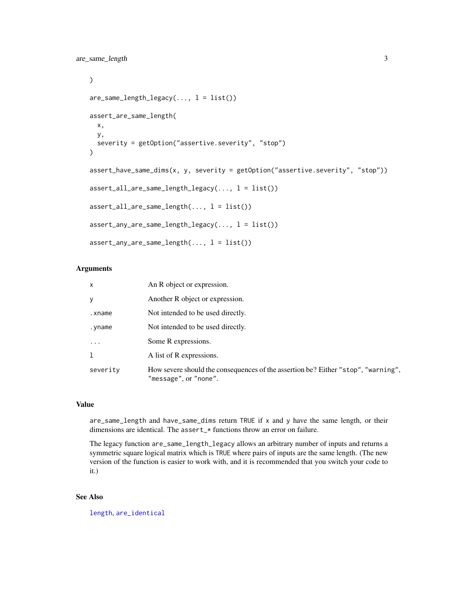<span id="page-2-0"></span>are\_same\_length 3

```
\mathcal{L}are\_same\_length\_legacy(..., 1 = list())assert_are_same_length(
 x,
 y,
  severity = getOption("assertive.severity", "stop")
)
assert_have_same_dims(x, y, severity = getOption("assertive.severity", "stop"))
assert\_all\_are\_same\_length\_legacy(..., l = list())assert\_all\_are\_same\_length(..., l = list())assert_{any\_are\_same\_length\_legacy(..., l = list())assert_{any\_are\_same\_length(..., l = list())
```
#### Arguments

| $\mathsf{x}$ | An R object or expression.                                                                                 |
|--------------|------------------------------------------------------------------------------------------------------------|
| У            | Another R object or expression.                                                                            |
| .xname       | Not intended to be used directly.                                                                          |
| .yname       | Not intended to be used directly.                                                                          |
| $\ddotsc$    | Some R expressions.                                                                                        |
| 1            | A list of R expressions.                                                                                   |
| severity     | How severe should the consequences of the assertion be? Either "stop", "warning",<br>"message", or "none". |

# Value

are\_same\_length and have\_same\_dims return TRUE if x and y have the same length, or their dimensions are identical. The assert\_\* functions throw an error on failure.

The legacy function are\_same\_length\_legacy allows an arbitrary number of inputs and returns a symmetric square logical matrix which is TRUE where pairs of inputs are the same length. (The new version of the function is easier to work with, and it is recommended that you switch your code to it.)

# See Also

[length](#page-0-0), [are\\_identical](#page-0-0)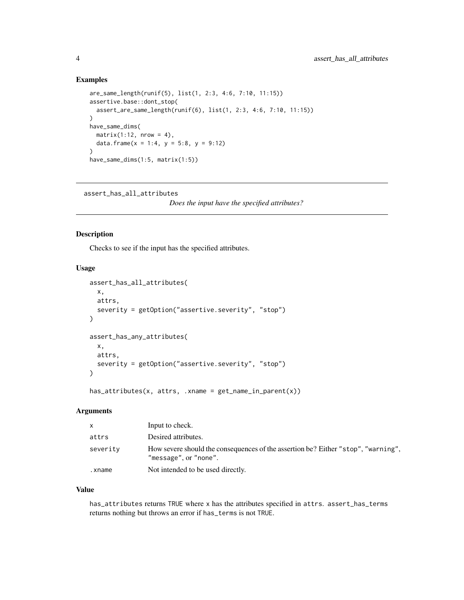#### <span id="page-3-0"></span>Examples

```
are_same_length(runif(5), list(1, 2:3, 4:6, 7:10, 11:15))
assertive.base::dont_stop(
  assert_are_same_length(runif(6), list(1, 2:3, 4:6, 7:10, 11:15))
\lambdahave_same_dims(
 matrix(1:12, nrow = 4),data.frame(x = 1:4, y = 5:8, y = 9:12)
)
have_same_dims(1:5, matrix(1:5))
```

```
assert_has_all_attributes
```

```
Does the input have the specified attributes?
```
# <span id="page-3-1"></span>Description

Checks to see if the input has the specified attributes.

#### Usage

```
assert_has_all_attributes(
  x,
 attrs,
 severity = getOption("assertive.severity", "stop")
\lambdaassert_has_any_attributes(
  x,
 attrs,
  severity = getOption("assertive.severity", "stop")
)
```
has\_attributes(x, attrs, .xname = get\_name\_in\_parent(x))

#### Arguments

| X        | Input to check.                                                                                            |
|----------|------------------------------------------------------------------------------------------------------------|
| attrs    | Desired attributes.                                                                                        |
| severity | How severe should the consequences of the assertion be? Either "stop", "warning",<br>"message", or "none". |
| .xname   | Not intended to be used directly.                                                                          |

#### Value

has\_attributes returns TRUE where x has the attributes specified in attrs. assert\_has\_terms returns nothing but throws an error if has\_terms is not TRUE.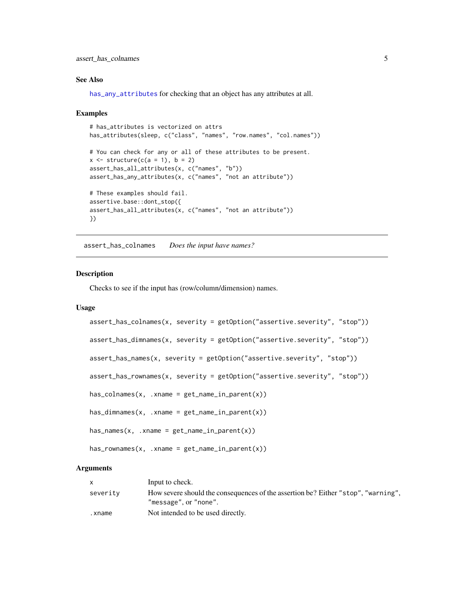<span id="page-4-0"></span>assert\_has\_colnames 5

#### See Also

[has\\_any\\_attributes](#page-18-1) for checking that an object has any attributes at all.

#### Examples

```
# has_attributes is vectorized on attrs
has_attributes(sleep, c("class", "names", "row.names", "col.names"))
# You can check for any or all of these attributes to be present.
x \le - structure(c(a = 1), b = 2)
assert_has_all_attributes(x, c("names", "b"))
assert_has_any_attributes(x, c("names", "not an attribute"))
# These examples should fail.
assertive.base::dont_stop({
assert_has_all_attributes(x, c("names", "not an attribute"))
})
```
assert\_has\_colnames *Does the input have names?*

#### **Description**

Checks to see if the input has (row/column/dimension) names.

#### Usage

```
assert\_has\_columns(x, severity = getOption("assertive.severity", "stop"))assert_has_dimnames(x, severity = getOption("assertive.severity", "stop"))
assert_has_names(x, severity = getOption("assertive.severity", "stop"))
assert_has_rownames(x, severity = getOption("assertive.severity", "stop"))
has\_columns(x, .xname = get_name_in\_parent(x))has\_dimensiones(x, .xname = get_name_in\_parent(x))has\_names(x, xname = get\_name_in\_parent(x))has_{r}ownames(x, .xname = get_name_in_parent(x))
```
#### Arguments

|          | Input to check.                                                                                            |
|----------|------------------------------------------------------------------------------------------------------------|
| severity | How severe should the consequences of the assertion be? Either "stop", "warning",<br>"message", or "none". |
| .xname   | Not intended to be used directly.                                                                          |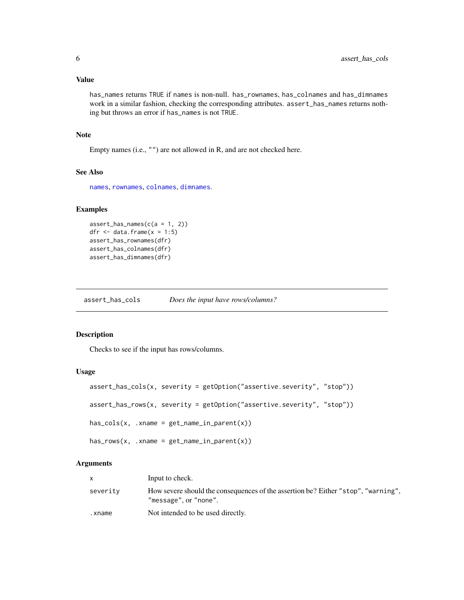#### <span id="page-5-0"></span>Value

has\_names returns TRUE if names is non-null. has\_rownames, has\_colnames and has\_dimnames work in a similar fashion, checking the corresponding attributes. assert\_has\_names returns nothing but throws an error if has\_names is not TRUE.

#### Note

Empty names (i.e., "") are not allowed in R, and are not checked here.

#### See Also

[names](#page-0-0), [rownames](#page-0-0), [colnames](#page-0-0), [dimnames](#page-0-0).

#### Examples

```
assert\_has\_names(c(a = 1, 2))dfr \leq data.frame(x = 1:5)
assert_has_rownames(dfr)
assert_has_colnames(dfr)
assert_has_dimnames(dfr)
```
assert\_has\_cols *Does the input have rows/columns?*

#### Description

Checks to see if the input has rows/columns.

# Usage

```
assert_has_cols(x, severity = getOption("assertive.severity", "stop"))
assert_has_rows(x, severity = getOption("assertive.severity", "stop"))
has\_cols(x, .xname = get_name_in\_parent(x))has_{rows}(x, .xname = get_{name_in\_parent(x)})
```
#### Arguments

|          | Input to check.                                                                                            |
|----------|------------------------------------------------------------------------------------------------------------|
| severity | How severe should the consequences of the assertion be? Either "stop", "warning",<br>"message", or "none". |
| .xname   | Not intended to be used directly.                                                                          |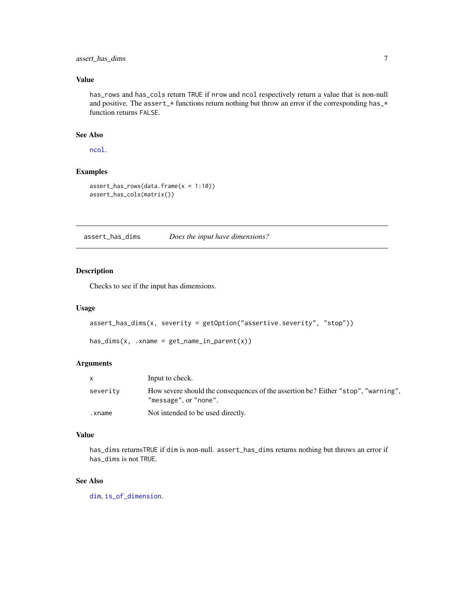<span id="page-6-0"></span>assert\_has\_dims 7

# Value

has\_rows and has\_cols return TRUE if nrow and ncol respectively return a value that is non-null and positive. The assert\_\* functions return nothing but throw an error if the corresponding has\_\* function returns FALSE.

## See Also

[ncol](#page-0-0).

# Examples

```
assert_has_rows(data.frame(x = 1:10))
assert_has_cols(matrix())
```
assert\_has\_dims *Does the input have dimensions?*

# Description

Checks to see if the input has dimensions.

# Usage

```
assert_has_dims(x, severity = getOption("assertive.severity", "stop"))
```

```
has\_dims(x, .xname = get\_name_in\_parent(x))
```
#### Arguments

|          | Input to check.                                                                                            |
|----------|------------------------------------------------------------------------------------------------------------|
| severity | How severe should the consequences of the assertion be? Either "stop", "warning",<br>"message", or "none". |
| .xname   | Not intended to be used directly.                                                                          |

#### Value

has\_dims returnsTRUE if dim is non-null. assert\_has\_dims returns nothing but throws an error if has\_dims is not TRUE.

# See Also

[dim](#page-0-0), [is\\_of\\_dimension](#page-8-1).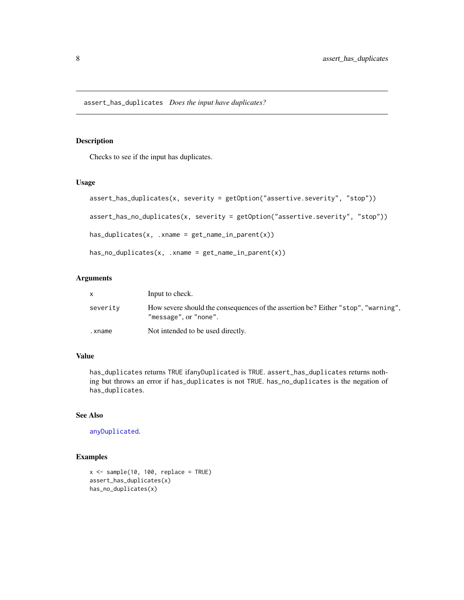<span id="page-7-0"></span>Checks to see if the input has duplicates.

#### Usage

```
assert_has_duplicates(x, severity = getOption("assertive.severity", "stop"))
assert_has_no_duplicates(x, severity = getOption("assertive.severity", "stop"))
has\_duplicates(x, xname = get_name_in\_parent(x))has_no_duplicates(x, .xname = get_name_in_parent(x))
```
#### Arguments

|          | Input to check.                                                                                            |
|----------|------------------------------------------------------------------------------------------------------------|
| severity | How severe should the consequences of the assertion be? Either "stop", "warning",<br>"message", or "none". |
| .xname   | Not intended to be used directly.                                                                          |

# Value

has\_duplicates returns TRUE ifanyDuplicated is TRUE. assert\_has\_duplicates returns nothing but throws an error if has\_duplicates is not TRUE. has\_no\_duplicates is the negation of has\_duplicates.

## See Also

[anyDuplicated](#page-0-0).

```
x \le - sample(10, 100, replace = TRUE)
assert_has_duplicates(x)
has_no_duplicates(x)
```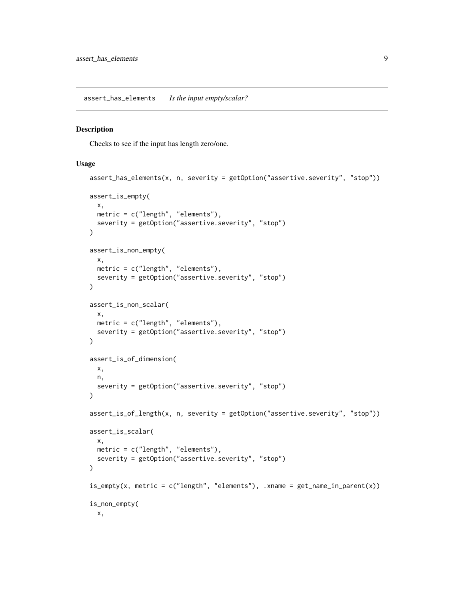<span id="page-8-0"></span>assert\_has\_elements *Is the input empty/scalar?*

#### <span id="page-8-1"></span>Description

Checks to see if the input has length zero/one.

#### Usage

```
assert_has_elements(x, n, severity = getOption("assertive.severity", "stop"))
assert_is_empty(
 x,
 metric = c("length", "elements"),
  severity = getOption("assertive.severity", "stop")
\lambdaassert_is_non_empty(
 x,
 metric = c("length", "elements"),
 severity = getOption("assertive.severity", "stop")
)
assert_is_non_scalar(
  x,
 metric = c("length", "elements"),
  severity = getOption("assertive.severity", "stop")
)
assert_is_of_dimension(
 x,
 n,
  severity = getOption("assertive.severity", "stop")
)
assert_is_of_length(x, n, severity = getOption("assertive.severity", "stop"))
assert_is_scalar(
  x,
 metric = c("length", "elements"),
  severity = getOption("assertive.severity", "stop")
)
is\_empty(x, metric = c("length", "elements"), xname = get_name_in\_parent(x))is_non_empty(
 x,
```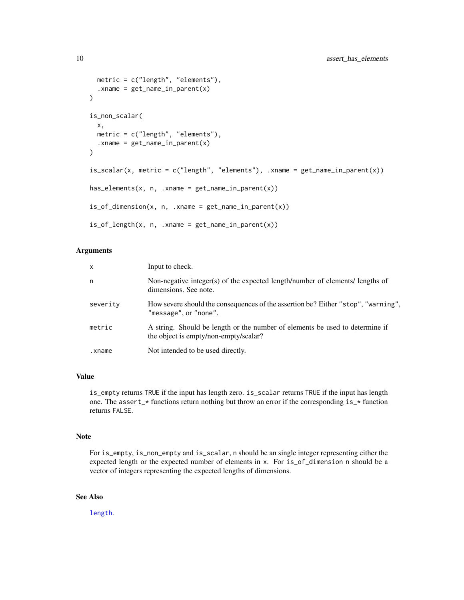```
metric = c("length", "elements"),
  :xname = get_name_in\_parent(x)\lambdais_non_scalar(
 x,
 metric = c("length", "elements"),
  :xname = get_name_in\_parent(x)\lambdais_scalar(x, metric = c("length", "elements"), .xname = get_name_in_parent(x))
has_{\text{elements}(x, n, .xname = get_{name_in\_parent(x))}is_of_dimension(x, n, .xname = get_name_in_parent(x))is_of_length(x, n, xname = get_name_in.parent(x))
```
# Arguments

| $\mathsf{x}$ | Input to check.                                                                                                       |
|--------------|-----------------------------------------------------------------------------------------------------------------------|
| n.           | Non-negative integer(s) of the expected length/number of elements/ lengths of<br>dimensions. See note.                |
| severity     | How severe should the consequences of the assertion be? Either "stop", "warning",<br>"message", or "none".            |
| metric       | A string. Should be length or the number of elements be used to determine if<br>the object is empty/non-empty/scalar? |
| .xname       | Not intended to be used directly.                                                                                     |

# Value

is\_empty returns TRUE if the input has length zero. is\_scalar returns TRUE if the input has length one. The assert\_\* functions return nothing but throw an error if the corresponding  $is_{\mathbf{r}}$  function returns FALSE.

# Note

For is\_empty, is\_non\_empty and is\_scalar, n should be an single integer representing either the expected length or the expected number of elements in x. For is\_of\_dimension n should be a vector of integers representing the expected lengths of dimensions.

# See Also

[length](#page-0-0).

<span id="page-9-0"></span>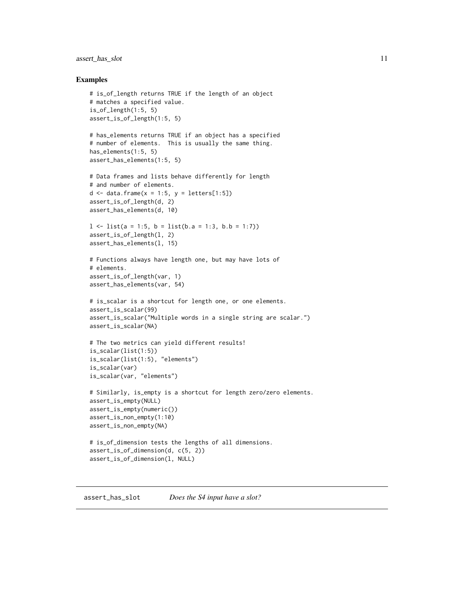# <span id="page-10-0"></span>assert\_has\_slot 11

#### Examples

```
# is_of_length returns TRUE if the length of an object
# matches a specified value.
is_of_length(1:5, 5)assert_is_of_length(1:5, 5)
# has_elements returns TRUE if an object has a specified
# number of elements. This is usually the same thing.
has_elements(1:5, 5)
assert_has_elements(1:5, 5)
# Data frames and lists behave differently for length
# and number of elements.
d \leq data.frame(x = 1:5, y = letters[1:5])
assert_is_of_length(d, 2)
assert_has_elements(d, 10)
l <- list(a = 1:5, b = list(b.a = 1:3, b.b = 1:7))
assert_is_of_length(l, 2)
assert_has_elements(l, 15)
# Functions always have length one, but may have lots of
# elements.
assert_is_of_length(var, 1)
assert_has_elements(var, 54)
# is_scalar is a shortcut for length one, or one elements.
assert_is_scalar(99)
assert_is_scalar("Multiple words in a single string are scalar.")
assert_is_scalar(NA)
# The two metrics can yield different results!
is_scalar(list(1:5))
is_scalar(list(1:5), "elements")
is_scalar(var)
is_scalar(var, "elements")
# Similarly, is_empty is a shortcut for length zero/zero elements.
assert_is_empty(NULL)
assert_is_empty(numeric())
assert_is_non_empty(1:10)
assert_is_non_empty(NA)
# is_of_dimension tests the lengths of all dimensions.
assert_is_of_dimension(d, c(5, 2))
assert_is_of_dimension(l, NULL)
```
#### assert\_has\_slot *Does the S4 input have a slot?*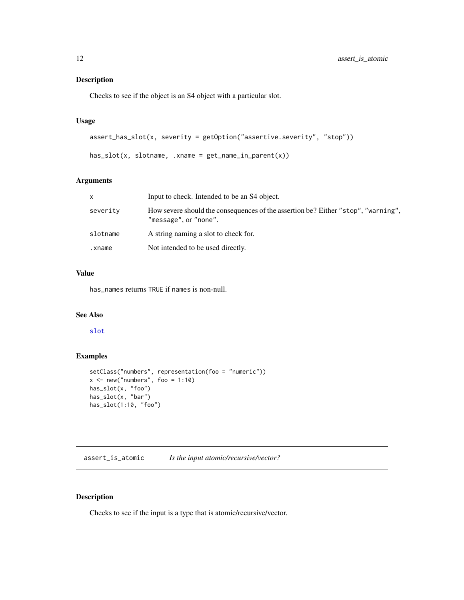<span id="page-11-0"></span>Checks to see if the object is an S4 object with a particular slot.

# Usage

```
assert_has_slot(x, severity = getOption("assertive.severity", "stop"))
```

```
has\_slot(x, slotname, .xname = get_name_in\_parent(x))
```
# Arguments

| $\mathsf{x}$ | Input to check. Intended to be an S4 object.                                                               |
|--------------|------------------------------------------------------------------------------------------------------------|
| severity     | How severe should the consequences of the assertion be? Either "stop", "warning",<br>"message", or "none". |
| slotname     | A string naming a slot to check for.                                                                       |
| .xname       | Not intended to be used directly.                                                                          |
|              |                                                                                                            |

# Value

has\_names returns TRUE if names is non-null.

# See Also

[slot](#page-0-0)

# Examples

```
setClass("numbers", representation(foo = "numeric"))
x \le - new("numbers", foo = 1:10)
has_slot(x, "foo")
has_slot(x, "bar")
has_slot(1:10, "foo")
```
assert\_is\_atomic *Is the input atomic/recursive/vector?*

# Description

Checks to see if the input is a type that is atomic/recursive/vector.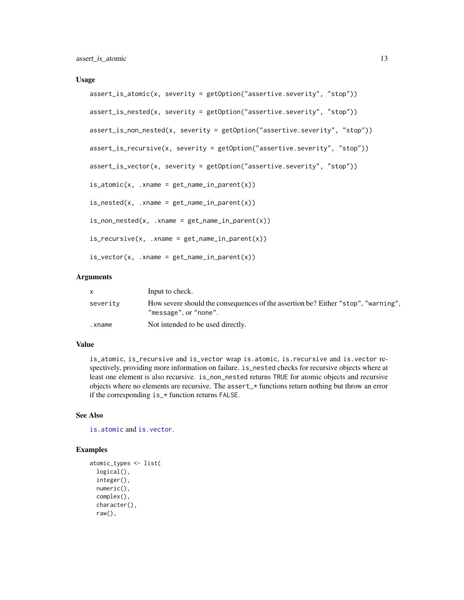#### <span id="page-12-0"></span>Usage

```
assert_is_atomic(x, severity = getOption("assertive.severity", "stop"))
assert_is_nested(x, severity = getOption("assertive.severity", "stop"))
assert_is_non_nested(x, severity = getOption("assertive.severity", "stop"))
assert_is_recursive(x, severity = getOption("assertive.severity", "stop"))
assert_is_vector(x, severity = getOption("assertive.severity", "stop"))
is_atomic(x, xname = get_name_in_parent(x))is\_needed(x, .xname = get\_name_in\_parent(x))is\_non\_nested(x, .xname = get\_name\_in\_parent(x))is\_recursive(x, .xname = get\_name_in\_parent(x))is\_vector(x, \dots xname = get\_name_in\_parent(x))
```
#### Arguments

|          | Input to check.                                                                                            |
|----------|------------------------------------------------------------------------------------------------------------|
| severity | How severe should the consequences of the assertion be? Either "stop", "warning",<br>"message", or "none". |
| .xname   | Not intended to be used directly.                                                                          |

# Value

is\_atomic, is\_recursive and is\_vector wrap is.atomic, is.recursive and is.vector respectively, providing more information on failure. is\_nested checks for recursive objects where at least one element is also recursive. is\_non\_nested returns TRUE for atomic objects and recursive objects where no elements are recursive. The assert\_\* functions return nothing but throw an error if the corresponding is\_\* function returns FALSE.

## See Also

[is.atomic](#page-0-0) and [is.vector](#page-0-0).

```
atomic_types <- list(
 logical(),
 integer(),
 numeric(),
 complex(),
 character(),
 raw(),
```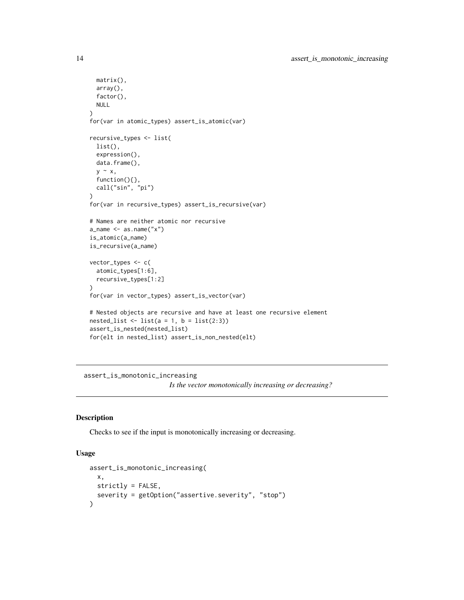```
matrix(),
  array(),
  factor(),
  NULL
)
for(var in atomic_types) assert_is_atomic(var)
recursive_types <- list(
  list(),
  expression(),
  data.frame(),
  y ~ x,
  function(){},
  call("sin", "pi")
)
for(var in recursive_types) assert_is_recursive(var)
# Names are neither atomic nor recursive
a_name \leq as.name("x")
is_atomic(a_name)
is_recursive(a_name)
vector_types <- c(
  atomic_types[1:6],
  recursive_types[1:2]
)
for(var in vector_types) assert_is_vector(var)
# Nested objects are recursive and have at least one recursive element
nested_list \leftarrow list(a = 1, b = list(2:3))
assert_is_nested(nested_list)
for(elt in nested_list) assert_is_non_nested(elt)
```

```
assert_is_monotonic_increasing
                         Is the vector monotonically increasing or decreasing?
```
Checks to see if the input is monotonically increasing or decreasing.

# Usage

```
assert_is_monotonic_increasing(
 x,
 strictly = FALSE,
  severity = getOption("assertive.severity", "stop")
\lambda
```
<span id="page-13-0"></span>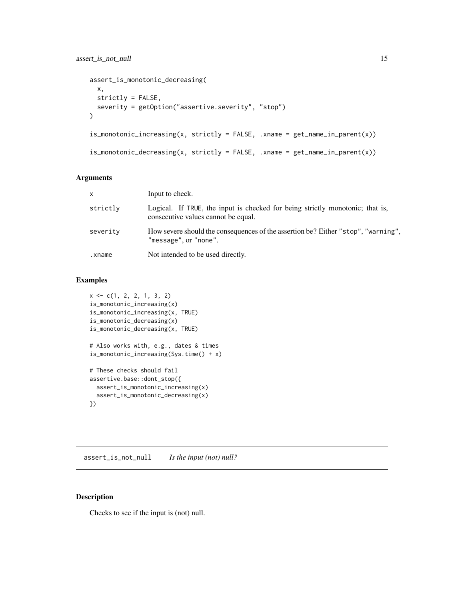```
assert_is_monotonic_decreasing(
  x,
  strictly = FALSE,
  severity = getOption("assertive.severity", "stop")
\lambdais\_monotonic\_increasing(x, strictly = FALSE, xname = get\_name_inparent(x))is\_monotonic\_decreasing(x, strictly = FALSE, xname = get\_name_in\_parent(x))
```
#### Arguments

| $\mathsf{x}$ | Input to check.                                                                                                      |
|--------------|----------------------------------------------------------------------------------------------------------------------|
| strictly     | Logical. If TRUE, the input is checked for being strictly monotonic; that is,<br>consecutive values cannot be equal. |
| severity     | How severe should the consequences of the assertion be? Either "stop", "warning",<br>"message", or "none".           |
| .xname       | Not intended to be used directly.                                                                                    |

# Examples

```
x \leftarrow c(1, 2, 2, 1, 3, 2)is_monotonic_increasing(x)
is_monotonic_increasing(x, TRUE)
is_monotonic_decreasing(x)
is_monotonic_decreasing(x, TRUE)
# Also works with, e.g., dates & times
is_monotonic_increasing(Sys.time() + x)
# These checks should fail
assertive.base::dont_stop({
  assert_is_monotonic_increasing(x)
  assert_is_monotonic_decreasing(x)
})
```
assert\_is\_not\_null *Is the input (not) null?*

# Description

Checks to see if the input is (not) null.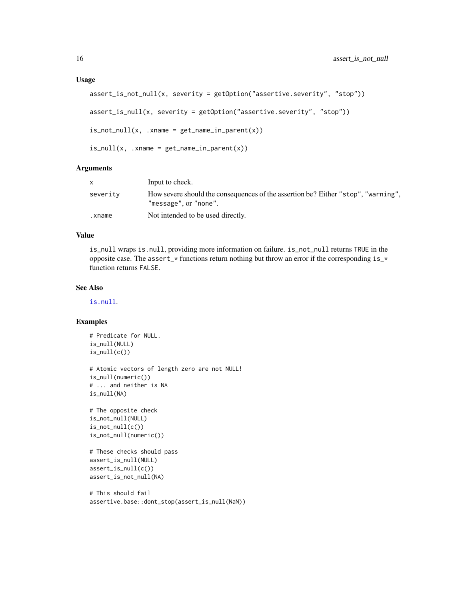#### <span id="page-15-0"></span>Usage

```
assert_is_not_null(x, severity = getOption("assertive.severity", "stop"))
assert_is_null(x, severity = getOption("assertive.severity", "stop"))
is\_not\_null(x, .xname = get\_name\_in\_parent(x))is\_null(x, .xname = get\_name_in\_parent(x))
```
#### **Arguments**

|          | Input to check.                                                                                            |
|----------|------------------------------------------------------------------------------------------------------------|
| severity | How severe should the consequences of the assertion be? Either "stop", "warning",<br>"message", or "none". |
| .xname   | Not intended to be used directly.                                                                          |

#### Value

is\_null wraps is.null, providing more information on failure. is\_not\_null returns TRUE in the opposite case. The assert\_\* functions return nothing but throw an error if the corresponding is\_\* function returns FALSE.

#### See Also

[is.null](#page-0-0).

```
# Predicate for NULL.
is_null(NULL)
is_null(c())
# Atomic vectors of length zero are not NULL!
is_null(numeric())
# ... and neither is NA
is_null(NA)
# The opposite check
is_not_null(NULL)
is\_not\_null(c())is_not_null(numeric())
# These checks should pass
assert_is_null(NULL)
assert_is_null(c())
assert_is_not_null(NA)
# This should fail
```

```
assertive.base::dont_stop(assert_is_null(NaN))
```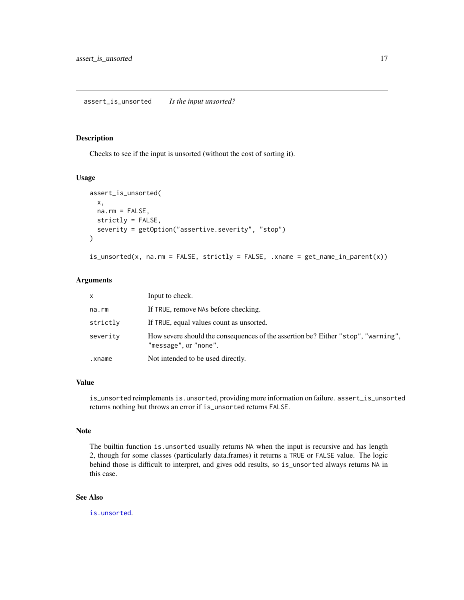<span id="page-16-0"></span>Checks to see if the input is unsorted (without the cost of sorting it).

#### Usage

```
assert_is_unsorted(
  x,
 na.rm = FALSE,strictly = FALSE,
 severity = getOption("assertive.severity", "stop")
)
```

```
is_unsorted(x, na.rm = FALSE, strictly = FALSE, .xname = get_name_in_parent(x))
```
# Arguments

| X        | Input to check.                                                                                            |
|----------|------------------------------------------------------------------------------------------------------------|
| na.rm    | If TRUE, remove NAs before checking.                                                                       |
| strictly | If TRUE, equal values count as unsorted.                                                                   |
| severity | How severe should the consequences of the assertion be? Either "stop", "warning",<br>"message", or "none". |
| .xname   | Not intended to be used directly.                                                                          |

# Value

is\_unsorted reimplements is.unsorted, providing more information on failure. assert\_is\_unsorted returns nothing but throws an error if is\_unsorted returns FALSE.

#### Note

The builtin function is.unsorted usually returns NA when the input is recursive and has length 2, though for some classes (particularly data.frames) it returns a TRUE or FALSE value. The logic behind those is difficult to interpret, and gives odd results, so is\_unsorted always returns NA in this case.

# See Also

[is.unsorted](#page-0-0).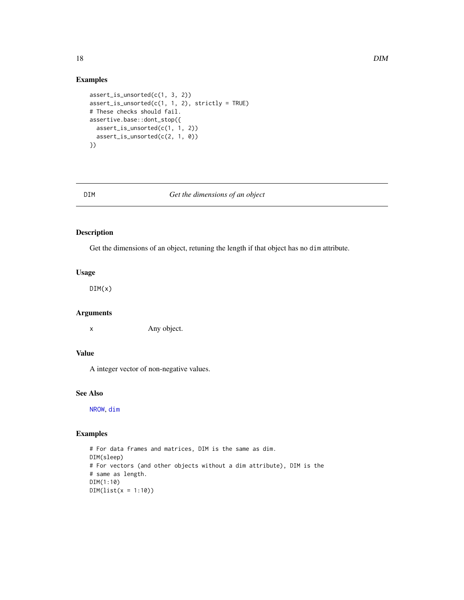# Examples

```
assert_is_unsorted(c(1, 3, 2))
assert_is\_unsorted(c(1, 1, 2), strictly = TRUE)# These checks should fail.
assertive.base::dont_stop({
  assert_is_unsorted(c(1, 1, 2))
  assert_is_unsorted(c(2, 1, 0))
})
```
<span id="page-17-1"></span>

#### DIM *Get the dimensions of an object*

# Description

Get the dimensions of an object, retuning the length if that object has no dim attribute.

# Usage

DIM(x)

# Arguments

x Any object.

# Value

A integer vector of non-negative values.

#### See Also

[NROW](#page-0-0), [dim](#page-0-0)

```
# For data frames and matrices, DIM is the same as dim.
DIM(sleep)
# For vectors (and other objects without a dim attribute), DIM is the
# same as length.
DIM(1:10)
DIM(list(x = 1:10))
```
<span id="page-17-0"></span>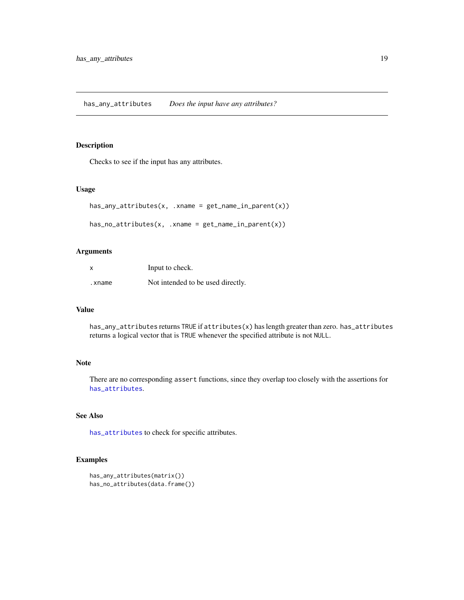<span id="page-18-1"></span><span id="page-18-0"></span>has\_any\_attributes *Does the input have any attributes?*

# Description

Checks to see if the input has any attributes.

#### Usage

```
has_any_attributes(x, .xname = get_name_in_parent(x))
```

```
has\_no\_attributes(x, .xname = get\_name_in\_parent(x))
```
# Arguments

| X      | Input to check.                   |
|--------|-----------------------------------|
| .xname | Not intended to be used directly. |

#### Value

has\_any\_attributes returns TRUE if attributes(x) has length greater than zero. has\_attributes returns a logical vector that is TRUE whenever the specified attribute is not NULL.

# Note

There are no corresponding assert functions, since they overlap too closely with the assertions for [has\\_attributes](#page-3-1).

# See Also

[has\\_attributes](#page-3-1) to check for specific attributes.

```
has_any_attributes(matrix())
has_no_attributes(data.frame())
```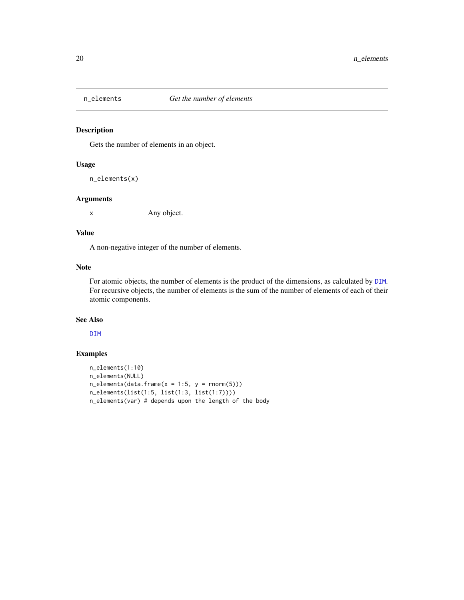<span id="page-19-0"></span>

Gets the number of elements in an object.

# Usage

n\_elements(x)

#### Arguments

x Any object.

### Value

A non-negative integer of the number of elements.

# Note

For atomic objects, the number of elements is the product of the dimensions, as calculated by [DIM](#page-17-1). For recursive objects, the number of elements is the sum of the number of elements of each of their atomic components.

#### See Also

[DIM](#page-17-1)

```
n_elements(1:10)
n_elements(NULL)
n<sup>e</sup>lements(data.frame(x = 1:5, y = rnorm(5)))
n_elements(list(1:5, list(1:3, list(1:7))))
n_elements(var) # depends upon the length of the body
```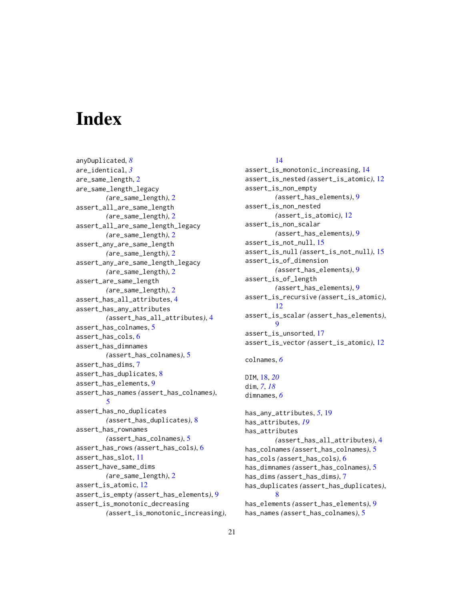# <span id="page-20-0"></span>**Index**

anyDuplicated, *[8](#page-7-0)* are\_identical, *[3](#page-2-0)* are\_same\_length, [2](#page-1-0) are\_same\_length\_legacy *(*are\_same\_length*)*, [2](#page-1-0) assert\_all\_are\_same\_length *(*are\_same\_length*)*, [2](#page-1-0) assert\_all\_are\_same\_length\_legacy *(*are\_same\_length*)*, [2](#page-1-0) assert\_any\_are\_same\_length *(*are\_same\_length*)*, [2](#page-1-0) assert\_any\_are\_same\_length\_legacy *(*are\_same\_length*)*, [2](#page-1-0) assert\_are\_same\_length *(*are\_same\_length*)*, [2](#page-1-0) assert\_has\_all\_attributes, [4](#page-3-0) assert\_has\_any\_attributes *(*assert\_has\_all\_attributes*)*, [4](#page-3-0) assert\_has\_colnames, [5](#page-4-0) assert\_has\_cols, [6](#page-5-0) assert\_has\_dimnames *(*assert\_has\_colnames*)*, [5](#page-4-0) assert\_has\_dims, [7](#page-6-0) assert\_has\_duplicates, [8](#page-7-0) assert\_has\_elements, [9](#page-8-0) assert\_has\_names *(*assert\_has\_colnames*)*, [5](#page-4-0) assert\_has\_no\_duplicates *(*assert\_has\_duplicates*)*, [8](#page-7-0) assert\_has\_rownames *(*assert\_has\_colnames*)*, [5](#page-4-0) assert\_has\_rows *(*assert\_has\_cols*)*, [6](#page-5-0) assert\_has\_slot, [11](#page-10-0) assert\_have\_same\_dims *(*are\_same\_length*)*, [2](#page-1-0) assert\_is\_atomic, [12](#page-11-0) assert\_is\_empty *(*assert\_has\_elements*)*, [9](#page-8-0) assert\_is\_monotonic\_decreasing *(*assert\_is\_monotonic\_increasing*)*,

# [14](#page-13-0)

assert\_is\_monotonic\_increasing, [14](#page-13-0) assert\_is\_nested *(*assert\_is\_atomic*)*, [12](#page-11-0) assert\_is\_non\_empty *(*assert\_has\_elements*)*, [9](#page-8-0) assert\_is\_non\_nested *(*assert\_is\_atomic*)*, [12](#page-11-0) assert\_is\_non\_scalar *(*assert\_has\_elements*)*, [9](#page-8-0) assert\_is\_not\_null, [15](#page-14-0) assert\_is\_null *(*assert\_is\_not\_null*)*, [15](#page-14-0) assert\_is\_of\_dimension *(*assert\_has\_elements*)*, [9](#page-8-0) assert\_is\_of\_length *(*assert\_has\_elements*)*, [9](#page-8-0) assert\_is\_recursive *(*assert\_is\_atomic*)*, [12](#page-11-0) assert\_is\_scalar *(*assert\_has\_elements*)*, [9](#page-8-0) assert\_is\_unsorted, [17](#page-16-0) assert\_is\_vector *(*assert\_is\_atomic*)*, [12](#page-11-0) colnames, *[6](#page-5-0)* DIM, [18,](#page-17-0) *[20](#page-19-0)* dim, *[7](#page-6-0)*, *[18](#page-17-0)* dimnames, *[6](#page-5-0)* has\_any\_attributes, *[5](#page-4-0)*, [19](#page-18-0) has\_attributes, *[19](#page-18-0)* has\_attributes *(*assert\_has\_all\_attributes*)*, [4](#page-3-0) has\_colnames *(*assert\_has\_colnames*)*, [5](#page-4-0) has\_cols *(*assert\_has\_cols*)*, [6](#page-5-0) has\_dimnames *(*assert\_has\_colnames*)*, [5](#page-4-0) has\_dims *(*assert\_has\_dims*)*, [7](#page-6-0) has\_duplicates *(*assert\_has\_duplicates*)*, [8](#page-7-0)

has\_elements *(*assert\_has\_elements*)*, [9](#page-8-0) has\_names *(*assert\_has\_colnames*)*, [5](#page-4-0)